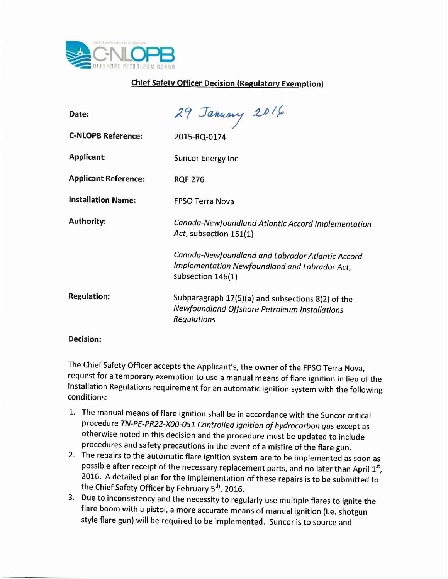

## **Chief Safety Officer Decision (Regulatory Exemption)**

| Date:                       | 29 January 2016                                                                                                          |
|-----------------------------|--------------------------------------------------------------------------------------------------------------------------|
| <b>C-NLOPB Reference:</b>   | 2015-RQ-0174                                                                                                             |
| <b>Applicant:</b>           | <b>Suncor Energy Inc</b>                                                                                                 |
| <b>Applicant Reference:</b> | <b>RQF 276</b>                                                                                                           |
| <b>Installation Name:</b>   | <b>FPSO Terra Nova</b>                                                                                                   |
| <b>Authority:</b>           | Canada-Newfoundland Atlantic Accord Implementation<br>Act, subsection 151(1)                                             |
|                             | Canada-Newfoundland and Labrador Atlantic Accord<br>Implementation Newfoundland and Labrador Act,<br>subsection 146(1)   |
| <b>Regulation:</b>          | Subparagraph 17(5)(a) and subsections 8(2) of the<br>Newfoundland Offshore Petroleum Installations<br><b>Regulations</b> |
|                             |                                                                                                                          |

## **Decision:**

The Chief Safety Officer accepts the Applicant's, the owner of the FPSO Terra Nova, request for a temporary exemption to use a manual means of flare ignition in lieu of the Installation Regulations requirement for an automatic ignition system with the following conditions:

- 1. The manual means of flare ignition shall be in accordance with the Suncor critical procedure *TN-PE-PR22-XOO-OSlControlled ignition of hydrocarbon gas* except as otherwise noted in this decision and the procedure must be updated to include procedures and safety precautions in the event of a misfire of the flare gun.
- 2. The repairs to the automatic flare ignition system are to be implemented as soon as possible after receipt of the necessary replacement parts, and no later than April 1st 2016. A detailed plan for the implementation of these repairs is to be submitted to the Chief Safety Officer by February 5<sup>th</sup>, 2016.
- 3. Due to inconsistency and the necessity to regularly use multiple flares to ignite the flare boom with a pistol, a more accurate means of manual ignition (i.e. shotgun style flare gun) will be required to be implemented. Suncor is to source and